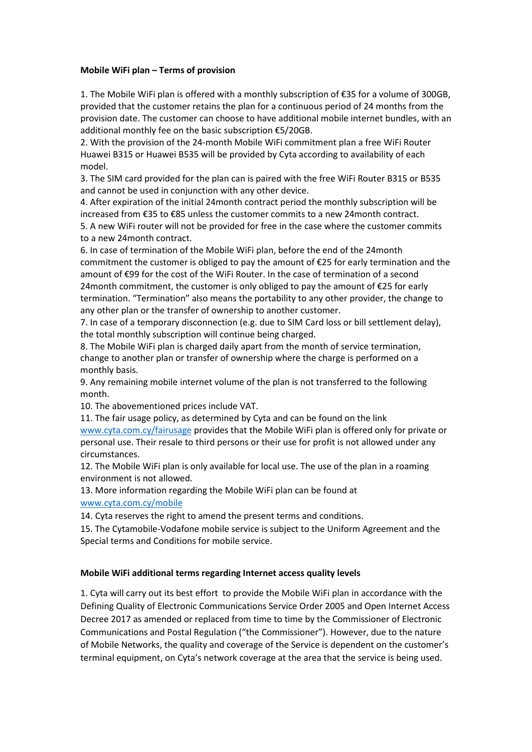## **Mobile WiFi plan – Terms of provision**

1. The Mobile WiFi plan is offered with a monthly subscription of €35 for a volume of 300GB, provided that the customer retains the plan for a continuous period of 24 months from the provision date. The customer can choose to have additional mobile internet bundles, with an additional monthly fee on the basic subscription €5/20GB.

2. With the provision of the 24-month Mobile WiFi commitment plan a free WiFi Router Huawei B315 or Huawei B535 will be provided by Cyta according to availability of each model.

3. The SIM card provided for the plan can is paired with the free WiFi Router B315 or B535 and cannot be used in conjunction with any other device.

4. After expiration of the initial 24month contract period the monthly subscription will be increased from €35 to €85 unless the customer commits to a new 24month contract.

5. A new WiFi router will not be provided for free in the case where the customer commits to a new 24month contract.

6. In case of termination of the Mobile WiFi plan, before the end of the 24month commitment the customer is obliged to pay the amount of €25 for early termination and the amount of €99 for the cost of the WiFi Router. In the case of termination of a second 24 month commitment, the customer is only obliged to pay the amount of  $E$ 25 for early termination. "Termination" also means the portability to any other provider, the change to any other plan or the transfer of ownership to another customer.

7. In case of a temporary disconnection (e.g. due to SIM Card loss or bill settlement delay), the total monthly subscription will continue being charged.

8. The Mobile WiFi plan is charged daily apart from the month of service termination, change to another plan or transfer of ownership where the charge is performed on a monthly basis.

9. Any remaining mobile internet volume of the plan is not transferred to the following month.

10. The abovementioned prices include VAT.

11. The fair usage policy, as determined by Cyta and can be found on the link [www.cyta.com.cy/fairusage](http://www.cyta.com.cy/fairusage) provides that the Mobile WiFi plan is offered only for private or personal use. Their resale to third persons or their use for profit is not allowed under any circumstances.

12. The Mobile WiFi plan is only available for local use. The use of the plan in a roaming environment is not allowed.

13. More information regarding the Mobile WiFi plan can be found at [www.cyta.com.cy/mobile](http://www.cyta.com.cy/mobile)

14. Cyta reserves the right to amend the present terms and conditions.

15. The Cytamobile-Vodafone mobile service is subject to the Uniform Agreement and the Special terms and Conditions for mobile service.

## **Mobile WiFi additional terms regarding Internet access quality levels**

1. Cyta will carry out its best effort to provide the Mobile WiFi plan in accordance with the Defining Quality of Electronic Communications Service Order 2005 and Open Internet Access Decree 2017 as amended or replaced from time to time by the Commissioner of Electronic Communications and Postal Regulation ("the Commissioner"). However, due to the nature of Mobile Networks, the quality and coverage of the Service is dependent on the customer's terminal equipment, on Cyta's network coverage at the area that the service is being used.